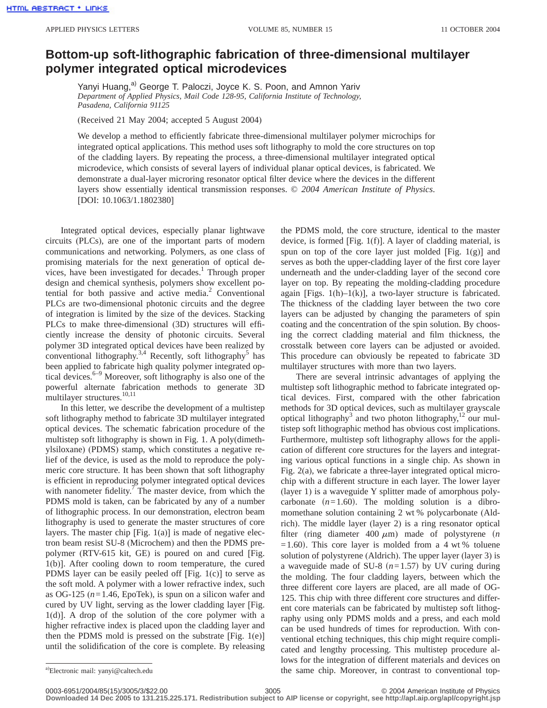## **Bottom-up soft-lithographic fabrication of three-dimensional multilayer polymer integrated optical microdevices**

Yanyi Huang,<sup>a)</sup> George T. Paloczi, Joyce K. S. Poon, and Amnon Yariv *Department of Applied Physics, Mail Code 128-95, California Institute of Technology, Pasadena, California 91125*

(Received 21 May 2004; accepted 5 August 2004)

We develop a method to efficiently fabricate three-dimensional multilayer polymer microchips for integrated optical applications. This method uses soft lithography to mold the core structures on top of the cladding layers. By repeating the process, a three-dimensional multilayer integrated optical microdevice, which consists of several layers of individual planar optical devices, is fabricated. We demonstrate a dual-layer microring resonator optical filter device where the devices in the different layers show essentially identical transmission responses. © *2004 American Institute of Physics*. [DOI: 10.1063/1.1802380]

Integrated optical devices, especially planar lightwave circuits (PLCs), are one of the important parts of modern communications and networking. Polymers, as one class of promising materials for the next generation of optical devices, have been investigated for decades.<sup>1</sup> Through proper design and chemical synthesis, polymers show excellent potential for both passive and active media. $2$  Conventional PLCs are two-dimensional photonic circuits and the degree of integration is limited by the size of the devices. Stacking PLCs to make three-dimensional (3D) structures will efficiently increase the density of photonic circuits. Several polymer 3D integrated optical devices have been realized by conventional lithography.<sup>3,4</sup> Recently, soft lithography<sup>5</sup> has been applied to fabricate high quality polymer integrated optical devices.6–9 Moreover, soft lithography is also one of the powerful alternate fabrication methods to generate 3D multilayer structures.<sup>10,11</sup>

In this letter, we describe the development of a multistep soft lithography method to fabricate 3D multilayer integrated optical devices. The schematic fabrication procedure of the multistep soft lithography is shown in Fig. 1. A poly(dimethylsiloxane) (PDMS) stamp, which constitutes a negative relief of the device, is used as the mold to reproduce the polymeric core structure. It has been shown that soft lithography is efficient in reproducing polymer integrated optical devices with nanometer fidelity. $\frac{7}{1}$  The master device, from which the PDMS mold is taken, can be fabricated by any of a number of lithographic process. In our demonstration, electron beam lithography is used to generate the master structures of core layers. The master chip  $[Fig. 1(a)]$  is made of negative electron beam resist SU-8 (Microchem) and then the PDMS prepolymer (RTV-615 kit, GE) is poured on and cured [Fig. 1(b)]. After cooling down to room temperature, the cured PDMS layer can be easily peeled off [Fig. 1(c)] to serve as the soft mold. A polymer with a lower refractive index, such as OG-125 (*n*=1.46, EpoTek), is spun on a silicon wafer and cured by UV light, serving as the lower cladding layer [Fig. 1(d)]. A drop of the solution of the core polymer with a higher refractive index is placed upon the cladding layer and then the PDMS mold is pressed on the substrate  $[Fig. 1(e)]$ until the solidification of the core is complete. By releasing the PDMS mold, the core structure, identical to the master device, is formed [Fig. 1(f)]. A layer of cladding material, is spun on top of the core layer just molded [Fig.  $1(g)$ ] and serves as both the upper-cladding layer of the first core layer underneath and the under-cladding layer of the second core layer on top. By repeating the molding-cladding procedure again [Figs.  $1(h)-1(k)$ ], a two-layer structure is fabricated. The thickness of the cladding layer between the two core layers can be adjusted by changing the parameters of spin coating and the concentration of the spin solution. By choosing the correct cladding material and film thickness, the crosstalk between core layers can be adjusted or avoided. This procedure can obviously be repeated to fabricate 3D multilayer structures with more than two layers.

There are several intrinsic advantages of applying the multistep soft lithographic method to fabricate integrated optical devices. First, compared with the other fabrication methods for 3D optical devices, such as multilayer grayscale optical lithography<sup>3</sup> and two photon lithography,<sup>12</sup> our multistep soft lithographic method has obvious cost implications. Furthermore, multistep soft lithography allows for the application of different core structures for the layers and integrating various optical functions in a single chip. As shown in Fig. 2(a), we fabricate a three-layer integrated optical microchip with a different structure in each layer. The lower layer (layer 1) is a waveguide Y splitter made of amorphous polycarbonate  $(n=1.60)$ . The molding solution is a dibromomethane solution containing 2 wt % polycarbonate (Aldrich). The middle layer (layer 2) is a ring resonator optical filter (ring diameter  $400 \mu m$ ) made of polystyrene (*n*  $=1.60$ ). This core layer is molded from a 4 wt % toluene solution of polystyrene (Aldrich). The upper layer (layer 3) is a waveguide made of SU-8  $(n=1.57)$  by UV curing during the molding. The four cladding layers, between which the three different core layers are placed, are all made of OG-125. This chip with three different core structures and different core materials can be fabricated by multistep soft lithography using only PDMS molds and a press, and each mold can be used hundreds of times for reproduction. With conventional etching techniques, this chip might require complicated and lengthy processing. This multistep procedure allows for the integration of different materials and devices on the same chip. Moreover, in contrast to conventional top-

0003-6951/2004/85(15)/3005/3/\$22.00 © 2004 American Institute of Physics 3005 **Downloaded 14 Dec 2005 to 131.215.225.171. Redistribution subject to AIP license or copyright, see http://apl.aip.org/apl/copyright.jsp**

Electronic mail: yanyi@caltech.edu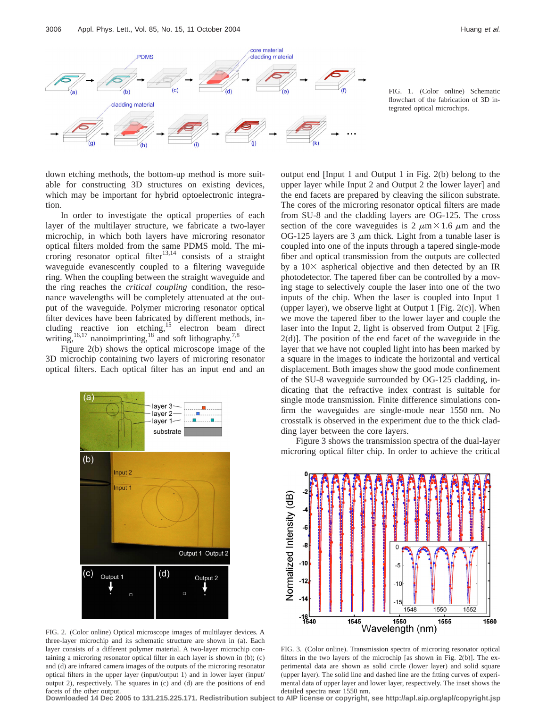

FIG. 1. (Color online) Schematic flowchart of the fabrication of 3D integrated optical microchips.

down etching methods, the bottom-up method is more suitable for constructing 3D structures on existing devices, which may be important for hybrid optoelectronic integration.

In order to investigate the optical properties of each layer of the multilayer structure, we fabricate a two-layer microchip, in which both layers have microring resonator optical filters molded from the same PDMS mold. The microring resonator optical filter<sup>13,14</sup> consists of a straight waveguide evanescently coupled to a filtering waveguide ring. When the coupling between the straight waveguide and the ring reaches the *critical coupling* condition, the resonance wavelengths will be completely attenuated at the output of the waveguide. Polymer microring resonator optical filter devices have been fabricated by different methods, including reactive ion etching,<sup>15</sup> electron beam direct writing,  $^{16,17}$  nanoimprinting,  $^{18}$  and soft lithography.<sup>7,8</sup>

Figure 2(b) shows the optical microscope image of the 3D microchip containing two layers of microring resonator optical filters. Each optical filter has an input end and an



FIG. 2. (Color online) Optical microscope images of multilayer devices. A three-layer microchip and its schematic structure are shown in (a). Each layer consists of a different polymer material. A two-layer microchip containing a microring resonator optical filter in each layer is shown in (b); (c) and (d) are infrared camera images of the outputs of the microring resonator optical filters in the upper layer (input/output 1) and in lower layer (input/ output 2), respectively. The squares in (c) and (d) are the positions of end facets of the other output.

output end [Input 1 and Output 1 in Fig. 2(b) belong to the upper layer while Input 2 and Output 2 the lower layer] and the end facets are prepared by cleaving the silicon substrate. The cores of the microring resonator optical filters are made from SU-8 and the cladding layers are OG-125. The cross section of the core waveguides is 2  $\mu$ m × 1.6  $\mu$ m and the OG-125 layers are 3  $\mu$ m thick. Light from a tunable laser is coupled into one of the inputs through a tapered single-mode fiber and optical transmission from the outputs are collected by a  $10\times$  aspherical objective and then detected by an IR photodetector. The tapered fiber can be controlled by a moving stage to selectively couple the laser into one of the two inputs of the chip. When the laser is coupled into Input 1 (upper layer), we observe light at Output 1 [Fig.  $2(c)$ ]. When we move the tapered fiber to the lower layer and couple the laser into the Input 2, light is observed from Output 2 [Fig. 2(d)]. The position of the end facet of the waveguide in the layer that we have not coupled light into has been marked by a square in the images to indicate the horizontal and vertical displacement. Both images show the good mode confinement of the SU-8 waveguide surrounded by OG-125 cladding, indicating that the refractive index contrast is suitable for single mode transmission. Finite difference simulations confirm the waveguides are single-mode near 1550 nm. No crosstalk is observed in the experiment due to the thick cladding layer between the core layers.

Figure 3 shows the transmission spectra of the dual-layer microring optical filter chip. In order to achieve the critical



FIG. 3. (Color online). Transmission spectra of microring resonator optical filters in the two layers of the microchip [as shown in Fig. 2(b)]. The experimental data are shown as solid circle (lower layer) and solid square (upper layer). The solid line and dashed line are the fitting curves of experimental data of upper layer and lower layer, respectively. The inset shows the detailed spectra near 1550 nm.

**Downloaded 14 Dec 2005 to 131.215.225.171. Redistribution subject to AIP license or copyright, see http://apl.aip.org/apl/copyright.jsp**